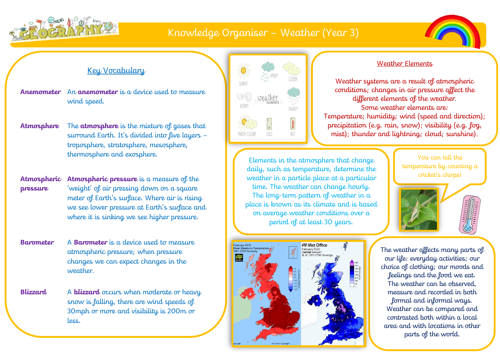

## Knowledge Organiser – Weather (Year 3)



## Key Vocabulary

**Anemometer** An **anemometer** is a device used to measure wind speed.

- **Atmosphere** The **atmosphere** is the mixture of gases that surround Earth. It's divided into five layers – troposphere, stratosphere, mesosphere, thermosphere and exosphere.
- **Atmospheric pressure Atmospheric pressure** is a measure of the 'weight' of air pressing down on a square meter of Earth's surface. Where air is rising we see lower pressure at Earth's surface and where it is sinking we see higher pressure.
- **Barometer** A **Barometer** is a device used to measure atmospheric pressure; when pressure changes we can expect changes in the weather.
- **Blizzard** A **blizzard** occurs when moderate or heavy snow is falling, there are wind speeds of 30mph or more and visibility is 200m or less.

Ĭ



### Elements in the atmosphere that change daily, such as temperature, determine the weather in a particle place at a particular time. The weather can change hourly. The long-term pattern of weather in a place is known as its climate and is based on average weather conditions over a period of at least 30 years.



#### Weather Elements

Weather systems are a result of atmospheric conditions; changes in air pressure affect the different elements of the weather. Some weather elements are: Temperature; humidity; wind (speed and direction); precipitation (e.g. rain, snow); visibility (e.g. fog, mist); thunder and lightning; cloud; sunshine).

> You can tell the temperature by counting a cricket's chirps!



The weather affects many parts of our life: everyday activities; our choice of clothing; our moods and feelings and the food we eat. The weather can be observed, measure and recorded in both formal and informal ways. Weather can be compared and contrasted both within a local area and with locations in other parts of the world.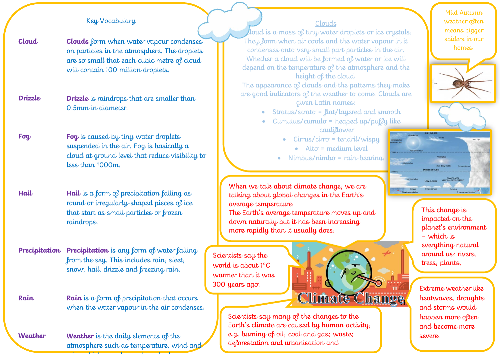#### Key Vocabulary

**Cloud Clouds** form when water vapour condenses on particles in the atmosphere. The droplets are so small that each cubic metre of cloud will contain 100 million droplets.

**Drizzle Drizzle** is raindrops that are smaller than 0.5mm in diameter.

**Fog Fog** is caused by tiny water droplets suspended in the air. Fog is basically a cloud at ground level that reduce visibility to less than 1000m.

**Hail Hail** is a form of precipitation falling as round or irregularly-shaped pieces of ice that start as small particles or frozen raindrops.

**Precipitation Precipitation** is any form of water falling from the sky. This includes rain, sleet, snow, hail, drizzle and freezing rain.

**Rain Rain** is a form of precipitation that occurs when the water vapour in the air condenses.

**Weather Weather** is the daily elements of the atmosphere such as temperature, wind and rain, which can change hour by hour.

#### Clouds

 $\ell$ loud is a mass of tiny water droplets or ice crystals. They form when air cools and the water vapour in it condenses onto very small part particles in the air. Whether a cloud will be formed of water or ice will depend on the temperature of the atmosphere and the height of the cloud.

The appearance of clouds and the patterns they make are good indicators of the weather to come. Clouds are given Latin names:

- Stratus/strato = flat/layered and smooth
- $\bullet$  Cumulus/cumulo = heaped up/puffy like cauliflower
	- $\bullet$  Cirrus/cirro = tendril/wispy
		- $\bullet$  Alto = medium level
	- $N$ imbus/nimbo = rain-bearing.

When we talk about climate change, we are talking about global changes in the Earth's average temperature.

The Earth's average temperature moves up and down naturally but it has been increasing more rapidly than it usually does.

Scientists say the world is about  $1^{\circ}C$ warmer than it was

population growth.

300 years ago.<br>
Climinate Chamge heatwaves, droughts

Scientists say many of the changes to the Earth's climate are caused by human activity, e.g. burning of oil, coal and gas; waste; deforestation and urbanisation and

Mild Autumn weather often means bigger spiders in our homes.



This change is impacted on the planet's environment – which is everything natural around us; rivers, trees, plants,

heatwaves, droughts and storms would happen more often and become more severe.

animals.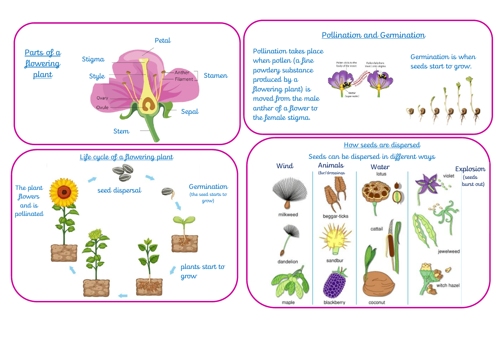